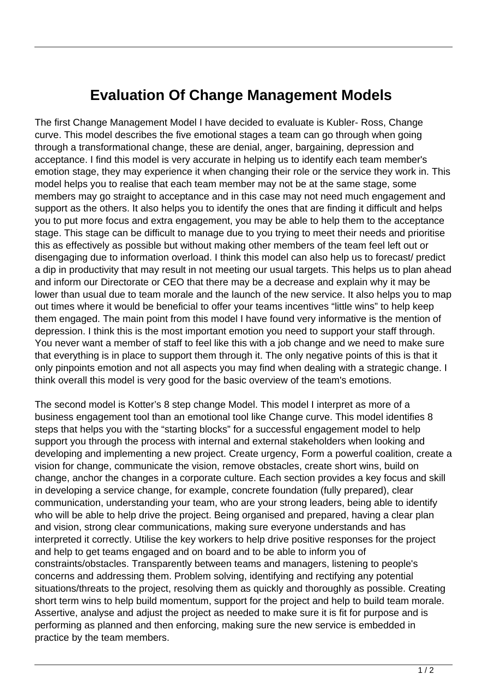## **Evaluation Of Change Management Models**

The first Change Management Model I have decided to evaluate is Kubler- Ross, Change curve. This model describes the five emotional stages a team can go through when going through a transformational change, these are denial, anger, bargaining, depression and acceptance. I find this model is very accurate in helping us to identify each team member's emotion stage, they may experience it when changing their role or the service they work in. This model helps you to realise that each team member may not be at the same stage, some members may go straight to acceptance and in this case may not need much engagement and support as the others. It also helps you to identify the ones that are finding it difficult and helps you to put more focus and extra engagement, you may be able to help them to the acceptance stage. This stage can be difficult to manage due to you trying to meet their needs and prioritise this as effectively as possible but without making other members of the team feel left out or disengaging due to information overload. I think this model can also help us to forecast/ predict a dip in productivity that may result in not meeting our usual targets. This helps us to plan ahead and inform our Directorate or CEO that there may be a decrease and explain why it may be lower than usual due to team morale and the launch of the new service. It also helps you to map out times where it would be beneficial to offer your teams incentives "little wins" to help keep them engaged. The main point from this model I have found very informative is the mention of depression. I think this is the most important emotion you need to support your staff through. You never want a member of staff to feel like this with a job change and we need to make sure that everything is in place to support them through it. The only negative points of this is that it only pinpoints emotion and not all aspects you may find when dealing with a strategic change. I think overall this model is very good for the basic overview of the team's emotions.

The second model is Kotter's 8 step change Model. This model I interpret as more of a business engagement tool than an emotional tool like Change curve. This model identifies 8 steps that helps you with the "starting blocks" for a successful engagement model to help support you through the process with internal and external stakeholders when looking and developing and implementing a new project. Create urgency, Form a powerful coalition, create a vision for change, communicate the vision, remove obstacles, create short wins, build on change, anchor the changes in a corporate culture. Each section provides a key focus and skill in developing a service change, for example, concrete foundation (fully prepared), clear communication, understanding your team, who are your strong leaders, being able to identify who will be able to help drive the project. Being organised and prepared, having a clear plan and vision, strong clear communications, making sure everyone understands and has interpreted it correctly. Utilise the key workers to help drive positive responses for the project and help to get teams engaged and on board and to be able to inform you of constraints/obstacles. Transparently between teams and managers, listening to people's concerns and addressing them. Problem solving, identifying and rectifying any potential situations/threats to the project, resolving them as quickly and thoroughly as possible. Creating short term wins to help build momentum, support for the project and help to build team morale. Assertive, analyse and adjust the project as needed to make sure it is fit for purpose and is performing as planned and then enforcing, making sure the new service is embedded in practice by the team members.